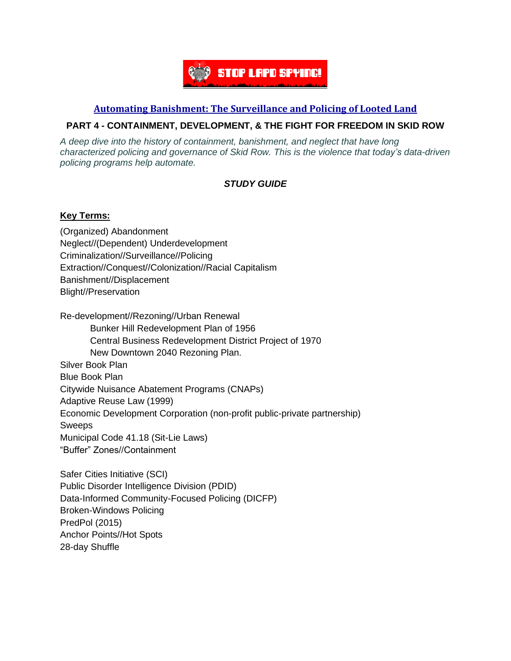

## **Automating [Banishment:](https://automatingbanishment.org/) The Surveillance and Policing of Looted Land**

# **PART 4 - CONTAINMENT, DEVELOPMENT, & THE FIGHT FOR FREEDOM IN SKID ROW**

*A deep dive into the history of containment, banishment, and neglect that have long characterized policing and governance of Skid Row. This is the violence that today's data-driven policing programs help automate.*

# *STUDY GUIDE*

#### **Key Terms:**

(Organized) Abandonment Neglect//(Dependent) Underdevelopment Criminalization//Surveillance//Policing Extraction//Conquest//Colonization//Racial Capitalism Banishment//Displacement Blight//Preservation

Re-development//Rezoning//Urban Renewal Bunker Hill Redevelopment Plan of 1956 Central Business Redevelopment District Project of 1970 New Downtown 2040 Rezoning Plan. Silver Book Plan Blue Book Plan Citywide Nuisance Abatement Programs (CNAPs) Adaptive Reuse Law (1999) Economic Development Corporation (non-profit public-private partnership) Sweeps Municipal Code 41.18 (Sit-Lie Laws) "Buffer" Zones//Containment

Safer Cities Initiative (SCI) Public Disorder Intelligence Division (PDID) Data-Informed Community-Focused Policing (DICFP) Broken-Windows Policing PredPol (2015) Anchor Points//Hot Spots 28-day Shuffle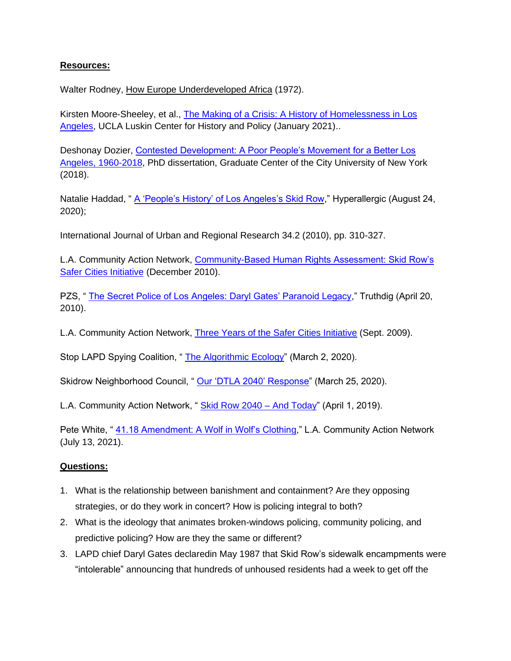# **Resources:**

Walter Rodney, How Europe Underdeveloped Africa (1972).

Kirsten Moore-Sheeley, et al., [The Making of a Crisis: A History of Homelessness in Los](https://luskincenter.history.ucla.edu/wp-content/uploads/sites/66/2021/01/LCHP-The-Making-of-A-Crisis-Report.pdf)  [Angeles,](https://luskincenter.history.ucla.edu/wp-content/uploads/sites/66/2021/01/LCHP-The-Making-of-A-Crisis-Report.pdf) UCLA Luskin Center for History and Policy (January 2021)..

Deshonay Dozier, [Contested Development: A Poor People's Movement for a Better Los](https://academicworks.cuny.edu/gc_etds/3255/)  [Angeles, 1960-2018,](https://academicworks.cuny.edu/gc_etds/3255/) PhD dissertation, Graduate Center of the City University of New York (2018).

Natalie Haddad, " [A 'People's History' of Los Angeles's Skid Row,](https://hyperallergic.com/584163/walk-the-talk-los-angeles-poverty-department/)" Hyperallergic (August 24, 2020);

International Journal of Urban and Regional Research 34.2 (2010), pp. 310-327.

L.A. Community Action Network, [Community-Based Human Rights Assessment: Skid Row's](https://cangress.files.wordpress.com/2010/12/sci-2010-report-final1.pdf)  [Safer Cities Initiative](https://cangress.files.wordpress.com/2010/12/sci-2010-report-final1.pdf) (December 2010).

PZS, " [The Secret Police of Los Angeles: Daryl Gates' Paranoid Legacy,](https://www.truthdig.com/articles/the-secret-police-of-los-angeles-daryl-gates-paranoid-legacy/)" Truthdig (April 20, 2010).

L.A. Community Action Network, [Three Years of the Safer Cities Initiative](https://cangress.wordpress.com/three-years-of-the-safer-cities-initiative/) (Sept. 2009).

Stop LAPD Spying Coalition, "[The Algorithmic Ecology"](https://stoplapdspying.medium.com/the-algorithmic-ecology-an-abolitionist-tool-for-organizing-against-algorithms-14fcbd0e64d0) (March 2, 2020).

Skidrow Neighborhood Council, " [Our 'DTLA 2040' Response"](https://skidrowneighborhoodcouncil.com/2020/03/25/our-dtla-2040-response/) (March 25, 2020).

L.A. Community Action Network, "[Skid Row 2040 –](https://change-links.org/skid-row-2040-and-today/) And Today" (April 1, 2019).

Pete White, " [41.18 Amendment: A Wolf in Wolf's Clothing,](https://cangress.org/41-18-amendment-a-wolf-in-wolfs-clothing/)" L.A. Community Action Network (July 13, 2021).

#### **Questions:**

- 1. What is the relationship between banishment and containment? Are they opposing strategies, or do they work in concert? How is policing integral to both?
- 2. What is the ideology that animates broken-windows policing, community policing, and predictive policing? How are they the same or different?
- 3. LAPD chief Daryl Gates declaredin May 1987 that Skid Row's sidewalk encampments were "intolerable" announcing that hundreds of unhoused residents had a week to get off the